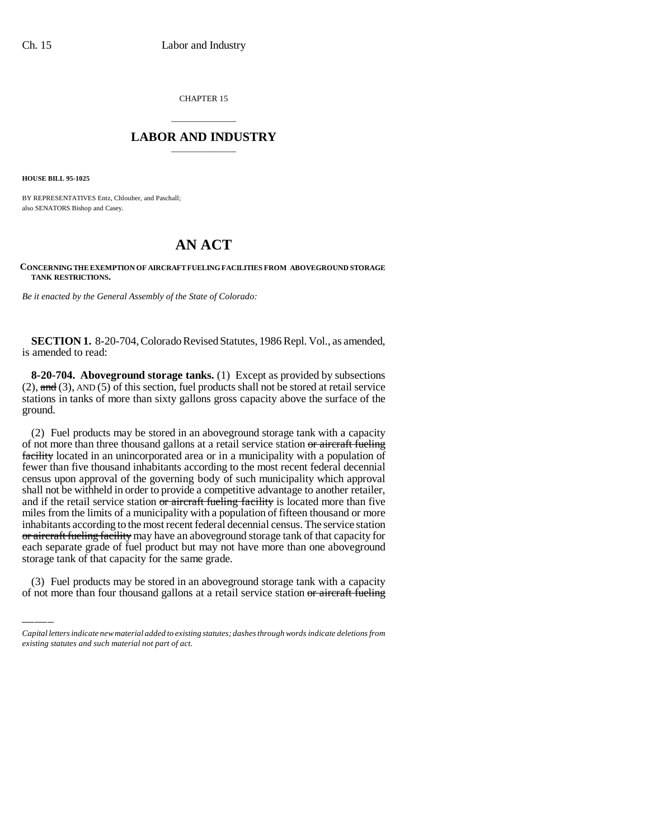CHAPTER 15

## \_\_\_\_\_\_\_\_\_\_\_\_\_\_\_ **LABOR AND INDUSTRY** \_\_\_\_\_\_\_\_\_\_\_\_\_\_\_

**HOUSE BILL 95-1025**

BY REPRESENTATIVES Entz, Chlouber, and Paschall; also SENATORS Bishop and Casey.

## **AN ACT**

## **CONCERNING THE EXEMPTION OF AIRCRAFT FUELING FACILITIES FROM ABOVEGROUND STORAGE TANK RESTRICTIONS.**

*Be it enacted by the General Assembly of the State of Colorado:*

**SECTION 1.** 8-20-704, Colorado Revised Statutes, 1986 Repl. Vol., as amended, is amended to read:

**8-20-704. Aboveground storage tanks.** (1) Except as provided by subsections  $(2)$ , and  $(3)$ , AND  $(5)$  of this section, fuel products shall not be stored at retail service stations in tanks of more than sixty gallons gross capacity above the surface of the ground.

each separate grade of fuel product but may not have more than one aboveground (2) Fuel products may be stored in an aboveground storage tank with a capacity of not more than three thousand gallons at a retail service station or aircraft fueling facility located in an unincorporated area or in a municipality with a population of fewer than five thousand inhabitants according to the most recent federal decennial census upon approval of the governing body of such municipality which approval shall not be withheld in order to provide a competitive advantage to another retailer, and if the retail service station or aircraft fueling facility is located more than five miles from the limits of a municipality with a population of fifteen thousand or more inhabitants according to the most recent federal decennial census. The service station or aircraft fueling facility may have an aboveground storage tank of that capacity for storage tank of that capacity for the same grade.

(3) Fuel products may be stored in an aboveground storage tank with a capacity of not more than four thousand gallons at a retail service station or aircraft fueling

*Capital letters indicate new material added to existing statutes; dashes through words indicate deletions from existing statutes and such material not part of act.*